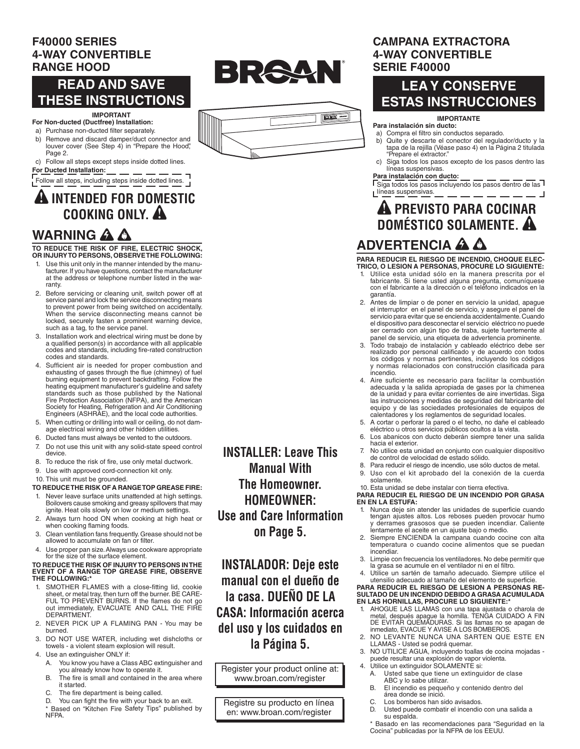### **F40000 SERIES 4-WAY CONVERTIBLE RANGE HOOD**

# **READ AND SAVE THESE INSTRUCTIONS**

### **IMPORTANT**

- **For Non-ducted (Ductfree) Installation:** a) Purchase non-ducted filter separately.
- b) Remove and discard damper/duct connector and louver cover (See Step 4) in "Prepare the Hood", Page 2.
- c) Follow all steps except steps inside dotted lines. **For Ducted Installation:**

 $\frac{1}{1}$  Follow all steps, including steps inside dotted lines.  $\frac{1}{1}$ 

# **A INTENDED FOR DOMESTIC**

# **WARNING A A**

**TO REDUCE THE RISK OF FIRE, ELECTRIC SHOCK, OR INJURY TO PERSONS, OBSERVE THE FOLLOWING:**

- Use this unit only in the manner intended by the manufacturer. If you have questions, contact the manufacturer at the address or telephone number listed in the warranty.
- 2. Before servicing or cleaning unit, switch power off at<br>service panel and lock the service disconnecting means<br>to prevent power from being switched on accidentally. When the service disconnecting means cannot be locked, securely fasten a prominent warning device,<br>such as a tag, to the service panel.
- Installation work and electrical wiring must be done by a qualified person(s) in accordance with all applicable codes and standards, including fire-rated construction codes and standards.
- 4. Sufficient air is needed for proper combustion and exhausting of gases through the flue (chimney) of fuel burning equipment to prevent backdrafting. Follow the heating equipment manufacturer's guideline and safety standards such as those published by the National Fire Protection Association (NFPA), and the American Society for Heating, Refrigeration and Air Conditioning Engineers (ASHRAE), and the local code authorities.
- 5. When cutting or drilling into wall or ceiling, do not damage electrical wiring and other hidden utilities.
- 6. Ducted fans must always be vented to the outdoors.
- 7. Do not use this unit with any solid-state speed control device.
- 8. To reduce the risk of fire, use only metal ductwork.
- 9. Use with approved cord-connection kit only.
- 10. This unit must be grounded.

### **TO REDUCE THE RISK OF A RANGE TOP GREASE FIRE:**

- 1. Never leave surface units unattended at high settings. Boilovers cause smoking and greasy spillovers that may<br>ignite. Heat oils slowly on low or medium settings.
- 2. Always turn hood ON when cooking at high heat or when cooking flaming foods.
- Clean ventilation fans frequently. Grease should not be allowed to accumulate on fan or filter.
- 4. Use proper pan size. Always use cookware appropriate for the size of the surface element.

#### **TO REDUCE THE RISK OF INJURY TO PERSONS IN THE EVENT OF A RANGE TOP GREASE FIRE, OBSERVE THE FOLLOWING:\***

- 1. SMOTHER FLAMES with a close-fitting lid, cookie sheet, or metal tray, then turn off the burner. BE CARE-FUL TO PREVENT BURNS. If the flames do not go<br>out immediately, EVACUATE AND CALL THE FIRE DEPARTMENT.
- 2. NEVER PICK UP A FLAMING PAN You may be burned.
- 3. DO NOT USE WATER, including wet dishcloths or towels - a violent steam explosion will result.
- 4. Use an extinguisher ONLY if:
	- A. You know you have a Class ABC extinguisher and you already know how to operate it.
	- B. The fire is small and contained in the area where it started.
	- C. The fire department is being called.

D. You can fight the fire with your back to an exit. \* Based on "Kitchen Fire Safety Tips" published by **NFPA** 

**INSTALLER: Leave This Manual With The Homeowner. HOMEOWNER: Use and Care Information on Page 5.**

BRAAN

**ENERGY** BROAD

**INSTALADOR: Deje este manual con el dueño de la casa. DUEÑO DE LA CASA: Información acerca del uso y los cuidados en la Página 5.**

Register your product online at: www.broan.com/register

Registre su producto en línea en: www.broan.com/register

### **CAMPANA EXTRACTORA 4-WAY CONVERTIBLE SERIE F40000**

# **LEA Y CONSERVE ESTAS INSTRUCCIONES**

### **IMPORTANTE**

#### **Para instalación sin ducto:**

- a) Compra el filtro sin conductos separado.<br>b) Quite y descarte el conector del regula
	- Quite y descarte el conector del regulador/ducto y la tapa de la rejilla (Véase paso 4) en la Página 2 titulada "Prepare el extractor."
	- c) Siga todos los pasos excepto de los pasos dentro las líneas suspensivas.

### **Para instalación con ducto:**

 $\sqrt{S}$ iga todos los pasos incluyendo los pasos dentro de las L<sup>líneas</sup> suspensivas.

# **ADVERTENCIA COOKING ONLY. A PREVISTO PARA COCINAR DOMÉSTICO SOLAMENTE.**

**PARA REDUCIR EL RIESGO DE INCENDIO, CHOQUE ELEC-TRICO, O LESION A PERSONAS, PROCURE LO SIGUIENTE:**

- 1. Utilice esta unidad sólo en la manera prescrita por el fabricante. Si tiene usted alguna pregunta, comuníquese<br>con el fabricante a la dirección o el teléfono indicados en la garantía.
- 2. Antes de limpiar o de poner en servicio la unidad, apague el interruptor en el panel de servicio, y asegure el panel de servicio para evitar que se encienda accidentalmente.Cuando el dispositivo para desconectar el servicio eléctrico no puede ser cerrado con algún tipo de traba, sujete fuertemente al panel de servicio, una etiqueta de advertencia prominente.
- 3. Todo trabajo de instalación y cableado eléctrico debe ser realizado por personal calificado y de acuerdo con todos<br>los códigos y normas pertinentes, incluyendo los códigos y normas relacionados con construcción clasificada para incendio.
- 4. Aire suficiente es necesario para facilitar la combustión adecuada y la salida apropiada de gases por la chimenea de la unidad y para evitar corrientes de aire invertidas. Siga las instrucciones y medidas de seguridad del fabricante del<br>equipo y de las sociedades profesionales de equipos de calentadores y los reglamentos de seguridad locales.
- 5. A cortar o perforar la pared o el techo, no dañe el cableado eléctrico u otros servicios públicos ocultos a la vista.
- 6. Los abanicos con ducto deberán siempre tener una salida hacia el exterior.
- 7. No utilice esta unidad en conjunto con cualquier dispositivo de control de velocidad de estado sólido.
- 8. Para reducir el riesgo de incendio, use sólo ductos de metal. 9. Uso con el kit aprobado del la conexión de la cuerda solamente.

#### 10. Esta unidad se debe instalar con tierra efectiva. **PARA REDUCIR EL RIESGO DE UN INCENDIO POR GRASA**

### **EN EN LA ESTUFA:**

- 1. Nunca deje sin atender las unidades de superficie cuando tengan ajustes altos. Los reboses pueden provocar humo y derrames grasosos que se pueden incendiar. Caliente lentamente el aceite en un aiuste bajo o medio.
- 2. Siempre ENCIENDA la campana cuando cocine con alta temperatura o cuando cocine alimentos que se puedan incendiar.
- 3. Limpie con frecuencia los ventiladores. No debe permitir que la grasa se acumule en el ventilador ni en el filtro.
- Utilice un sartén de tamaño adecuado. Siempre utilice el utensilio adecuado al tamaño del elemento de superficie.

# **PARA REDUCIR EL RIESGO DE LESION A PERSONAS RE-SULTADO DE UN INCENDIO DEBIDO A GRASA ACUMULADA EN LAS HORNILLAS, PROCURE LO SIGUIENTE:\***

- 1. AHOGUE LAS LLAMAS con una tapa ajustada o charola de metal, después apague la hornilla. TENGA CUIDADO A FIN<br>DE EVITAR QUEMADURAS. Si las llamas no se apagan de<br>inmediato, EVACUE Y AVISE A LOS BOMBEROS.
- 2. NO LEVANTE NUNCA UNA SARTEN QUE ESTE EN LLAMAS - Usted se podrá quemar.
- 3. NO UTILICE AGUA, incluyendo toallas de cocina mojadas puede resultar una explosión de vapor violenta.
- 4. Utilice un extinguidor SOLAMENTE si:
	- A. Usted sabe que tiene un extinguidor de clase ABC y lo sabe utilizar.<br>B El incendio es pequei
	- El incendio es pequeño y contenido dentro del área donde se inició.
	-
	- C. Los bomberos han sido avisados.<br>D. Usted puede combatir el incendio. Usted puede combatir el incendio con una salida a su espalda.

\* Basado en las recomendaciones para "Seguridad en la Cocina" publicadas por la NFPA de los EEUU.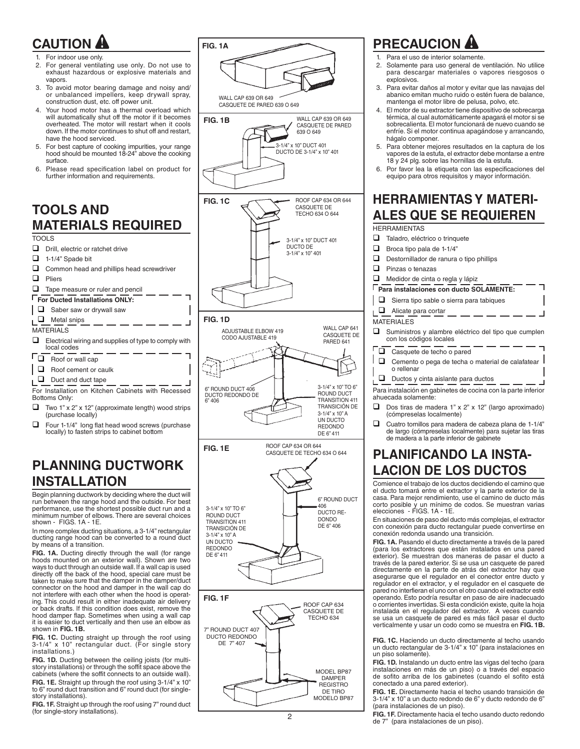# **CAUTION**

- For indoor use only.
- 2. For general ventilating use only. Do not use to exhaust hazardous or explosive materials and vapors.
- 3. To avoid motor bearing damage and noisy and/ or unbalanced impellers, keep drywall spray, construction dust, etc. off power unit.
- 4. Your hood motor has a thermal overload which will automatically shut off the motor if it becomes overheated. The motor will restart when it cools down. If the motor continues to shut off and restart, have the hood serviced.
- 5. For best capture of cooking impurities, your range hood should be mounted 18-24" above the cooking surface.
- 6. Please read specification label on product for further information and requirements.

# **TOOLS AND MATERIALS REQUIRED**

### TOOLS

- $\Box$  Drill, electric or ratchet drive
- $\Box$  1-1/4" Spade bit
- $\Box$  Common head and phillips head screwdriver
- $\Box$  Pliers
- $\Box$  Tape measure or ruler and pencil
- **For Ducted Installations ONLY:**
- 

### $\Box$  Saber saw or drywall saw  $\Box$  Metal snips

- MATERIALS
- $\Box$  Electrical wiring and supplies of type to comply with local codes
- $\Gamma_{\Box}$  Roof or wall cap
- $\Box$  Roof cement or caulk
- $\Box$  Duct and duct tape

For Installation on Kitchen Cabinets with Recessed Bottoms Only:

- $\Box$  Two 1" x 2" x 12" (approximate length) wood strips (purchase locally)
- $\Box$  Four 1-1/4" long flat head wood screws (purchase locally) to fasten strips to cabinet bottom

# **PLANNING DUCTWORK INSTALLATION**

Begin planning ductwork by deciding where the duct will run between the range hood and the outside. For best performance, use the shortest possible duct run and a minimum number of elbows. There are several choices shown -  $FIGS. 1A - 1E$ .

In more complex ducting situations, a 3-1/4" rectangular ducting range hood can be converted to a round duct<br>by means of a transition.

**FIG. 1A.** Ducting directly through the wall (for range hoods mounted on an exterior wall). Shown are two ways to duct through an outside wall. If a wall cap is used directly off the back of the hood, special care must be taken to make sure that the damper in the damper/duct connector on the hood and damper in the wall cap do not interfere with each other when the hood is operating. This could result in either inadequate air delivery or back drafts. If this condition does exist, remove the hood damper flap. Sometimes when using a wall cap it is easier to duct vertically and then use an elbow as shown in FIG. 1B.

**FIG. 1C.** Ducting straight up through the roof using 3-1/4" x 10" rectangular duct. (For single story installations.)

FIG. 1D. Ducting between the ceiling joists (for multistory installations) or through the soffit space above the cabinets (where the soffit connects to an outside wall).

**FIG. 1E.** Straight up through the roof using 3-1/4" x 10" to 6" round duct transition and 6" round duct (for singlestory installations).

FIG. 1F. Straight up through the roof using 7" round duct (for single-story installations).



# **PRECAUCION**

- Para el uso de interior solamente.
- 2. Solamente para uso general de ventilación. No utilice para descargar materiales o vapores riesgosos o explosivos.
- 3. Para evitar daños al motor y evitar que las navajas del abanico emitan mucho ruido o estén fuera de balance, mantenga el motor libre de pelusa, polvo, etc.
- 4. El motor de su extractor tiene dispositivo de sobrecarga térmica, al cual automáticamente apagará el motor si se sobrecalienta. El motor funcionará de nuevo cuando se enfríe. Si el motor continua apagándose y arrancando, hágalo componer.
- 5. Para obtener mejores resultados en la captura de los vapores de la estufa, el extractor debe montarse a entre 18 y 24 plg. sobre las hornillas de la estufa.
- 6. Por favor lea la etiqueta con las especificaciones del equipo para otros requisitos y mayor información.

# **HERRAMIENTAS Y MATERI-ALES QUE SE REQUIEREN**

**HERRAMIENTAS** 

- $\Box$  Taladro, eléctrico o trinquete  $\Box$  Broca tipo pala de 1-1/4"  $\Box$  Destornillador de ranura o tipo phillips  $\Box$  Pinzas o tenazas  $\Box$  Medidor de cinta o regla y lápiz **Para instalaciones con ducto SOLAMENTE:**  $\Box$  Sierra tipo sable o sierra para tabiques  $\Box$  Alicate para cortar MATERIALES  $\Box$  Suministros y alambre eléctrico del tipo que cumplen con los códigos locales  $\Box$  Casquete de techo o pared  $\Box$  Cemento o pega de techa o material de calafatear o rellenar  $\Box$  Ductos y cinta aislante para ductos Para instalación en gabinetes de cocina con la parte inferior ahuecada solamente:  $\Box$  Dos tiras de madera 1" x 2" x 12" (largo aproximado) (cómpreselas localmente)
- $\Box$  Cuatro tornillos para madera de cabeza plana de 1-1/4" de largo (cómpreselas localmente) para sujetar las tiras de madera a la parte inferior de gabinete

# **PLANIFICANDO LA INSTA-LACION DE LOS DUCTOS**

Comience el trabajo de los ductos decidiendo el camino que el ducto tomará entre el extractor y la parte exterior de la casa. Para mejor rendimiento, use el camino de ducto más corto posible y un mínimo de codos. Se muestran varias<br>elecciones - FIGS. 1A - 1E.

En situaciones de paso del ducto más complejas, el extractor con conexión para ducto rectangular puede convertirse en conexión redonda usando una transición.

FIG. 1A. Pasando el ducto directamente a través de la pared (para los extractores que están instalados en una pared exterior). Se muestran dos maneras de pasar el ducto a través de la pared exterior. Si se usa un casquete de pared directamente en la parte de atrás del extractor hay que asegurarse que el regulador en el conector entre ducto y<br>regulador en el extractor, y el regulador en el casquete de pared no interfieran el uno con el otro cuando el extractor esté operando. Esto podría resultar en paso de aire inadecuado o corrientes invertidas.Si esta condición existe, quite la hoja instalada en el regulador del extractor. A veces cuando se usa un casquete de pared es más fácil pasar el ducto verticalmente y usar un codo como se muestra en FIG. 1B.

**FIG. 1C.** Haciendo un ducto directamente al techo usando un ducto rectangular de 3-1/4" x 10" (para instalaciones en un piso solamente).

**FIG. 1D.** Instalando un ducto entre las vigas del techo (para<br>instalaciones en más de un piso) o a través del espacio de sofito arriba de los gabinetes (cuando el sofito está conectado a una pared exterior).

FIG. 1E. Directamente hacia el techo usando transición de  $3-1/4$ " x  $10$ " a un ducto redondo de 6" y ducto redondo de 6" (para instalaciones de un piso).

FIG. 1F. Directamente hacia el techo usando ducto redondo de 7" (para instalaciones de un piso).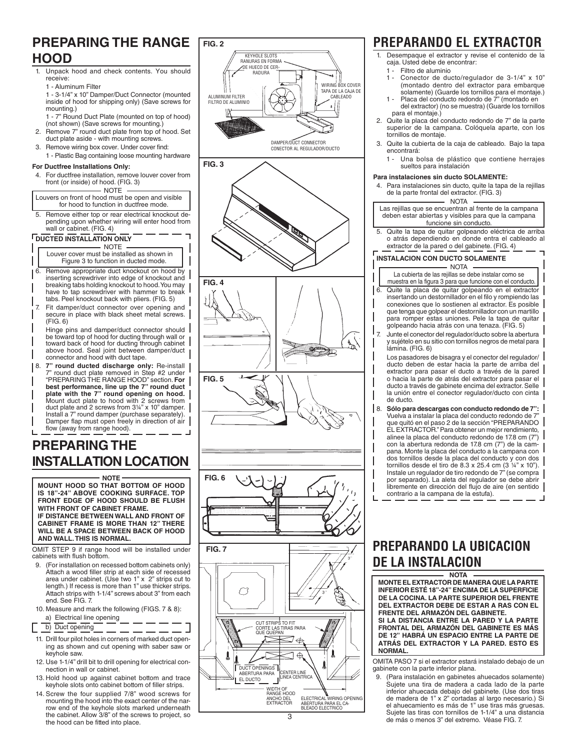# **PREPARING THE RANGE HOOD**

1. Unpack hood and check contents. You should receive:

### 1 - Aluminum Filter

1 - 3-1/4" x 10" Damper/Duct Connector (mounted inside of hood for shipping only) (Save screws for mounting.)

1 - 7" Round Duct Plate (mounted on top of hood) (not shown) (Save screws for mounting.)

- 2. Remove 7" round duct plate from top of hood. Set duct plate aside - with mounting screws.
- Remove wiring box cover. Under cover find: 1 - Plastic Bag containing loose mounting hardware

#### **For Ductfree Installations Only:**

For ductfree installation, remove louver cover from front (or inside) of hood. (FIG. 3)

NOTE Louvers on front of hood must be open and visible for hood to function in ductfree mode.

5. Remove either top or rear electrical knockout depending upon whether wiring will enter hood from wall or cabinet. (FIG. 4)

### **DUCTED INSTALLATION ONLY**

NOTE Louver cover must be installed as shown in

- Figure 3 to function in ducted mode. 6. Remove appropriate duct knockout on hood by inserting screwdriver into edge of knockout and breaking tabs holding knockout to hood.You may have to tap screwdriver with hammer to break tabs. Peel knockout back with pliers. (FIG. 5)
- 7. Fit damper/duct connector over opening and secure in place with black sheet metal screws.  $(FIG \n6)$
- Hinge pins and damper/duct connector should be toward top of hood for ducting through wall or toward back of hood for ducting through cabinet above hood. Seal joint between damper/duct connector and hood with duct tape.
- 8. **7" round ducted discharge only:** Re-install 7" round duct plate removed in Step #2 under "PREPARING THE RANGE HOOD" section. **For best performance, line up the 7" round duct plate with the 7" round opening on hood.** Mount duct plate to hood with 2 screws from<br>duct plate and 2 screws from 3¼" x 10" damper. Install a 7" round damper (purchase separately). Damper flap must open freely in direction of air flow (away from range hood).

# **PREPARING THE INSTALLATION LOCATION**

**NOTE MOUNT HOOD SO THAT BOTTOM OF HOOD IS 18"-24" ABOVE COOKING SURFACE. TOP FRONT EDGE OF HOOD SHOULD BE FLUSH WITH FRONT OF CABINET FRAME. IF DISTANCE BETWEEN WALL AND FRONT OF CABINET FRAME IS MORE THAN 12" THERE WILL BE A SPACE BETWEEN BACK OF HOOD AND WALL. THIS IS NORMAL.**

OMIT STEP 9 if range hood will be installed under cabinets with flush bottom.

- 9. (For installation on recessed bottom cabinets only) Attach a wood filler strip at each side of recessed area under cabinet. (Use two  $1$ " x  $2$ " strips cut to length.) If recess is more than 1" use thicker strips. Attach strips with 1-1/4" screws about 3" from each end. See FIG. 7.
- 10. Measure and mark the following (FIGS. 7 & 8): a) Electrical line opening

b) Duct opening

- 11. Drill four pilot holes in corners of marked duct opening as shown and cut opening with saber saw or keyhole saw
- 12. Use 1-1/4" drill bit to drill opening for electrical connection in wall or cabinet.
- 13. Hold hood up against cabinet bottom and trace keyhole slots onto cabinet bottom of filler strips.
- 14. Screw the four supplied 7/8" wood screws for mounting the hood into the exact center of the narrow end of the keyhole slots marked underneath the cabinet. Allow 3/8" of the screws to project, so the hood can be fitted into place.



### 3

# **PREPARANDO EL EXTRACTOR**

- Desempaque el extractor y revise el contenido de la caja. Usted debe de encontrar:
- 1 Filtro de aluminio<br>1 Conector de due
	- Conector de ducto/regulador de 3-1/4" x 10" (montado dentro del extractor para embarque solamente) (Guarde los tornillos para el montaje.)
- Placa del conducto redondo de 7" (montado en del extractor) (no se muestra) (Guarde los tornillos para el montaje.)
- 2. Quite la placa del conducto redondo de 7" de la parte superior de la campana. Colóquela aparte, con los tornillos de montaje
- 3. Quite la cubierta de la caja de cableado. Bajo la tapa encontrará:
	- 1 Una bolsa de plástico que contiene herrajes sueltos para instalación

#### **Para instalaciones sin ducto SOLAMENTE:**

- 4. Para instalaciones sin ducto, quite la tapa de la rejillas de la parte frontal del extractor. (FIG. 3) - NOTA
- Las rejillas que se encuentran al frente de la campana deben estar abiertas y visibles para que la campana funcione sin conducto
- 5. Quite la tapa de quitar golpeando eléctrica de arriba o atrás dependiendo en donde entra el cableado al extractor de la pared o del gabinete. (FIG. 4)

### **INSTALACION CON DUCTO SOLAMENTE**

NOTA La cubierta de las rejillas se debe instalar como se

- muestra en la figura 3 para que funcione con el conducto. 6. Quite la placa de quitar golpeando en el extractor insertando un destornillador en el filo y rompiendo las conexiones que lo sostienen al extractor. Es posible que tenga que golpear el destornillador con un martillo para romper estas uniones. Pele la tapa de quitar golpeando hacia atrás con una tenaza. (FIG. 5)
- 7. Junte el conector del regulador/ducto sobre la abertura y sujételo en su sitio con tornillos negros de metal para lámina. (FIG. 6)

Los pasadores de bisagra y el conector del regulador/ ducto deben de estar hacia la parte de arriba del extractor para pasar el ducto a través de la pared o hacia la parte de atrás del extractor para pasar el ducto a través de gabinete encima del extractor. Selle la unión entre el conector regulador/ducto con cinta de ducto. 

8. **Sólo para descargas con conducto redondo de 7":**  Vuelva a instalar la placa del conducto redondo de 7"<br>que quitó en el paso 2 de la sección "PREPARANDO EL EXTRACTOR."Para obtener un mejor rendimiento, alinee la placa del conducto redondo de 17.8 cm  $(7")$ con la abertura redonda de 17.8 cm (7") de la campana. Monte la placa del conducto a la campana con dos tornillos desde la placa del conducto y con dos tornillos desde el tiro de 8.3 x 25.4 cm (3  $\frac{1}{4}$ " x 10"). Instale un regulador de tiro redondo de  $7<sup>n</sup>$  (se compra por separado). La aleta del regulador se debe abrir libremente en dirección del flujo de aire (en sentido contrario a la campana de la estufa).

### **PREPARANDO LA UBICACION DE LA INSTALACION NOTA**

**MONTE EL EXTRACTOR DE MANERA QUE LA PARTE INFERIOR ESTÉ 18"-24" ENCIMA DE LA SUPERFICIE DE LA COCINA. LA PARTE SUPERIOR DEL FRENTE DEL EXTRACTOR DEBE DE ESTAR A RAS CON EL FRENTE DEL ARMAZÓN DEL GABINETE. SI LA DISTANCIA ENTRE LA PARED Y LA PARTE FRONTAL DEL ARMAZÓN DEL GABINETE ES MÁS DE 12" HABRÁ UN ESPACIO ENTRE LA PARTE DE ATRÁS DEL EXTRACTOR Y LA PARED. ESTO ES NORMAL.**

OMITA PASO 7 si el extractor estará instalado debajo de un gabinete con la parte inferior plana.

9. (Para instalación en gabinetes ahuecados solamente) Sujete una tira de madera a cada lado de la parte inferior ahuecada debajo del gabinete. (Use dos tiras de madera de 1" x 2" cortadas al largo necesario.) Si el ahuecamiento es más de 1" use tiras más gruesas.<br>Sujete las tiras con tornillos de 1-1/4" a una distancia de más o menos 3" del extremo. Véase FIG. 7.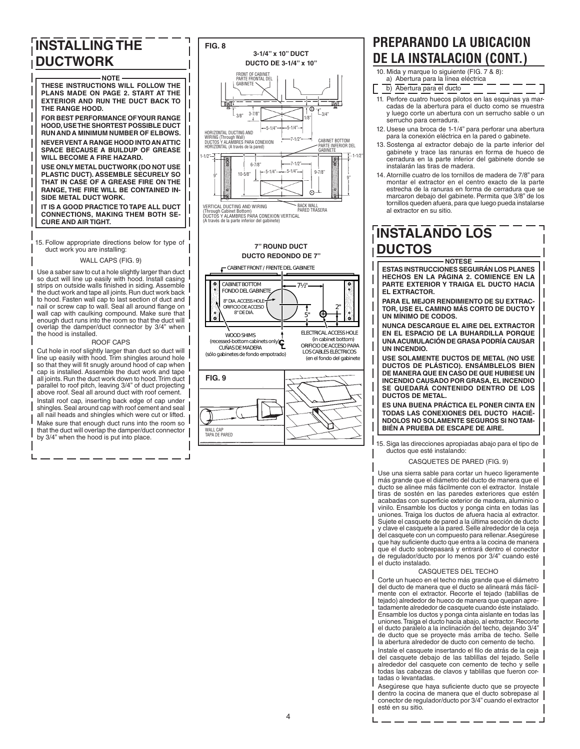# **INSTALLING THE DUCTWORK**

**NOTE THESE INSTRUCTIONS WILL FOLLOW THE PLANS MADE ON PAGE 2. START AT THE EXTERIOR AND RUN THE DUCT BACK TO THE RANGE HOOD. FOR BEST PERFORMANCE OF YOUR RANGE HOOD, USE THE SHORTEST POSSIBLE DUCT** 

**RUN AND A MINIMUM NUMBER OF ELBOWS. NEVER VENT A RANGE HOOD INTO AN ATTIC SPACE BECAUSE A BUILDUP OF GREASE WILL BECOME A FIRE HAZARD.**

**USE ONLY METAL DUCTWORK (DO NOT USE PLASTIC DUCT). ASSEMBLE SECURELY SO THAT IN CASE OF A GREASE FIRE ON THE RANGE, THE FIRE WILL BE CONTAINED IN-SIDE METAL DUCT WORK.**

**IT IS A GOOD PRACTICE TO TAPE ALL DUCT CONNECTIONS, MAKING THEM BOTH SE-CURE AND AIR TIGHT.**

15. Follow appropriate directions below for type of duct work you are installing:

#### WALL CAPS (FIG. 9)

Use a saber saw to cut a hole slightly larger than duct so duct will line up easily with hood. Install casing strips on outside walls finished in siding. Assemble the duct work and tape all joints. Run duct work back to hood. Fasten wall cap to last section of duct and nail or screw cap to wall. Seal all around flange on wall cap with caulking compound. Make sure that enough duct runs into the room so that the duct will overlap the damper/duct connector by 3/4" when the hood is installed.

#### ROOF CAPS

Cut hole in roof slightly larger than duct so duct will line up easily with hood. Trim shingles around hole so that they will fit snugly around hood of cap when cap is installed. Assemble the duct work and tape all joints. Run the duct work down to hood. Trim duct parallel to roof pitch, leaving 3/4" of duct projecting above roof. Seal all around duct with roof cement. Install roof cap, inserting back edge of cap under shingles.Seal around cap with roof cement and seal all nail heads and shingles which were cut or lifted. Make sure that enough duct runs into the room so that the duct will overlap the damper/duct connector by 3/4" when the hood is put into place.



### **DUCTO REDONDO DE 7"**



# **PREPARANDO LA UBICACION DE LA INSTALACION (CONT.)**

- 10. Mida y marque lo siguiente (FIG. 7 & 8):<br>a) Abertura para la línea eléctrica
- b) Abertura para el ducto
- 11. Perfore cuatro huecos pilotos en las esquinas ya marcadas de la abertura para el ducto como se muestra y luego corte un abertura con un serrucho sable o un serrucho para cerradura.
- 12. Usese una broca de 1-1/4" para perforar una abertura para la conexión eléctrica en la pared o gabinete.
- 13. Sostenga al extractor debajo de la parte inferior del gabinete y trace las ranuras en forma de hueco de cerradura en la parte inferior del gabinete donde se instalarán las tiras de madera.
- 14. Atornille cuatro de los tornillos de madera de 7/8" para montar el extractor en el centro exacto de la parte estrecha de la ranuras en forma de cerradura que se marcaron debajo del gabinete. Permita que 3/8" de los tornillos queden afuera, para que luego pueda instalarse al extractor en su sitio.

# **INSTALANDO LOS DUCTOS**

**NOTESE ESTAS INSTRUCCIONES SEGUIRÁN LOS PLANES HECHOS EN LA PÁGINA 2. COMIENCE EN LA PARTE EXTERIOR Y TRAIGA EL DUCTO HACIA EL EXTRACTOR.**

**PARA EL MEJOR RENDIMIENTO DE SU EXTRAC-TOR, USE EL CAMINO MÁS CORTO DE DUCTO Y UN MÍNIMO DE CODOS.**

**NUNCA DESCARGUE EL AIRE DEL EXTRACTOR EN EL ESPACIO DE LA BUHARDILLA PORQUE UNA ACUMULACIÓN DE GRASA PODRÍA CAUSAR UN INCENDIO.**

**USE SOLAMENTE DUCTOS DE METAL (NO USE DUCTOS DE PLÁSTICO). ENSÁMBLELOS BIEN DE MANERA QUE EN CASO DE QUE HUBIESE UN INCENDIO CAUSADO POR GRASA, EL INCENDIO SE QUEDARÁ CONTENIDO DENTRO DE LOS DUCTOS DE METAL.**

**ES UNA BUENA PRÁCTICA EL PONER CINTA EN TODAS LAS CONEXIONES DEL DUCTO HACIÉ-NDOLOS NO SOLAMENTE SEGUROS SI NO TAM-BIÉN A PRUEBA DE ESCAPE DE AIRE.**

15. Siga las direcciones apropiadas abajo para el tipo de ductos que esté instalando:

#### CASQUETES DE PARED (FIG. 9)

Use una sierra sable para cortar un hueco ligeramente más grande que el diámetro del ducto de manera que el ducto se alinee más fácilmente con el extractor. Instale tiras de sostén en las paredes exteriores que estén acabadas con superficie exterior de madera, aluminio o vinilo. Ensamble los ductos y ponga cinta en todas las uniones. Traiga los ductos de afuera hacia al extractor. Sujete el casquete de pared a la última sección de ducto y clave el casquete a la pared. Selle alrededor de la ceja del casquete con un compuesto para rellenar.Asegúrese que hay suficiente ducto que entra a la cocina de manera que el ducto sobrepasará y entrará dentro el conector de regulador/ducto por lo menos por 3/4" cuando esté el ducto instalado.

#### CASQUETES DEL TECHO

Corte un hueco en el techo más grande que el diámetro del ducto de manera que el ducto se alineará más fácilmente con el extractor. Recorte el tejado (tablillas de tejado) alrededor de hueco de manera que quepan apretadamente alrededor de casquete cuando éste instalado. Ensamble los ductos y ponga cinta aislante en todas las<br>uniones. Traiga el ducto hacia abajo, al extractor. Recorte el ducto paralelo a la inclinación del techo, dejando 3/4" de ducto que se proyecte más arriba de techo. Selle la abertura alrededor de ducto con cemento de techo.

Instale el casquete insertando el filo de atrás de la ceja del casquete debajo de las tablillas del tejado. Selle alrededor del casquete con cemento de techo y selle todas las cabezas de clavos y tablillas que fueron cortadas o levantadas.

Asegúrese que haya suficiente ducto que se proyecte dentro la cocina de manera que el ducto sobrepase al conector de regulador/ducto por 3/4" cuando el extractor esté en su sitio.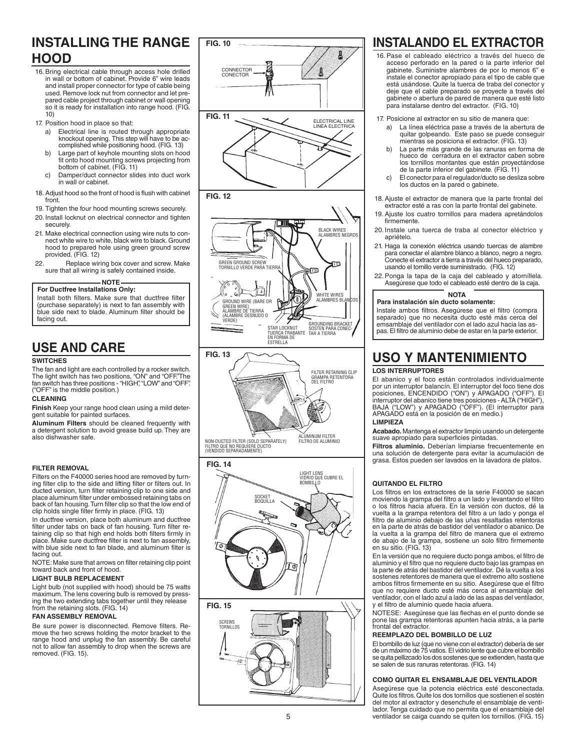# **INSTALLING THE RANGE HOOD**

- 16. Bring electrical cable through access hole drilled in wall or bottom of cabinet. Provide 6" wire leads and install proper connector for type of cable being used. Remove lock nut from connector and let prepared cable project through cabinet or wall opening so it is ready for installation into range hood. (FIG. 10)
- 17. Position hood in place so that:
	- a) Electrical line is routed through appropriate knockout opening. This step will have to be ac-complished while positioning hood. (FIG. 13)
	- b) Large part of keyhole mounting slots on hood<br>fit onto hood mounting screws projecting from<br>bottom of cabinet. (FIG. 11)
	- c) Damper/duct connector slides into duct work in wall or cabinet.
- 18. Adjust hood so the front of hood is flush with cabinet front.
- 19. Tighten the four hood mounting screws securely.
- 20. Install locknut on electrical connector and tighten securely.
- 21. Make electrical connection using wire nuts to connect white wire to white, black wire to black.Ground hood to prepared hole using green ground screw provided. (FIG. 12)
- 22. Replace wiring box cover and screw. Make sure that all wiring is safely contained inside.

#### **NOTE For Ductfree Installations Only:**

Install both filters. Make sure that ductfree filter (purchase separately) is next to fan assembly with blue side next to blade. Aluminum filter should be facing out.

### **USE AND CARE**

### **SWITCHES**

The fan and light are each controlled by a rocker switch. The light switch has two positions, "ON" and "OFF".The fan switch has three positions - "HIGH", "LOW" and "OFF".<br>("OFF" is the middle position.)

#### **CLEANING**

**Finish** Keep your range hood clean using a mild deter-<br>gent suitable for painted surfaces.

**Aluminum Filters** should be cleaned frequently with a detergent solution to avoid grease build up. They are also dishwasher safe.

### **FILTER REMOVAL**

Filters on the F40000 series hood are removed by turning filter clip to the side and lifting filter or filters out. In ducted version, turn filter retaining clip to one side and place aluminum filter under embossed retaining tabs on back of fan housing. Turn filter clip so that the low end of<br>clip holds single filter firmly in place. (FIG. 13)

In ductfree version, place both aluminum and ductfree filter under tabs on back of fan housing. Turn filter retaining clip so that high end holds both filters firmly in<br>place. Make sure ductfree filter is next to fan assembly, with blue side next to fan blade, and aluminum filter is facing out.

NOTE: Make sure that arrows on filter retaining clip point toward back and front of hood.

#### **LIGHT BULB REPLACEMENT**

Light bulb (not supplied with hood) should be 75 watts maximum. The lens covering bulb is removed by pressing the two extending tabs together until they release from the retaining slots. (FIG. 14)

#### **FAN ASSEMBLY REMOVAL**

Be sure power is disconnected. Remove filters. Remove the two screws holding the motor bracket to the<br>range hood and unplug the fan assembly. Be careful<br>not to allow fan assembly to drop when the screws are removed. (FIG. 15).







### **FIG. 10 INSTALANDO EL EXTRACTOR**

- 16. Pase el cableado eléctrico a través del hueco de acceso perforado en la pared o la parte inferior del gabinete. Suministre alambres de por lo menos 6" e instale el conector apropiado para el tipo de cable que está usándose. Quite la tuerca de traba del conector y deje que el cable preparado se proyecte a través del gabinete o abertura de pared de manera que esté listo para instalarse dentro del extractor. (FIG. 10)
- 17. Posicione al extractor en su sitio de manera que:
	- a) La línea eléctrica pase a través de la abertura de<br>quitar golpeando. Este paso se puede conseguir mientras se posiciona el extractor. (FIG. 13)
	- b) La parte más grande de las ranuras en forma de hueco de cerradura en el extractor caben sobre los tornillos montantes que están proyectándose de la parte inferior del gabinete. (FIG. 11)
	- c) El conector para el regulador/ducto se desliza sobre los ductos en la pared o gabinete.
- 18. Ajuste el extractor de manera que la parte frontal del<br>extractor esté a ras con la parte frontal del gabinete.
- 19. Ajuste los cuatro tornillos para madera apretándolos firmemente.
- 20. Instale una tuerca de traba al conector eléctrico y apriételo.
- 21. Haga la conexión eléctrica usando tuercas de alambre para conectar el alambre blanco a blanco, negro a negro.<br>Conecte el extractor a tierra a través del hueco preparado, usando el tornillo verde suministrado. (FIG. 12)
- 22. Ponga la tapa de la caja del cableado y atorníllela. Asegúrese que todo el cableado esté dentro de la caja.

#### **NOTA Para instalación sin ducto solamente:**

Instale ambos filtros. Asegúrese que el filtro (compra separado) que no necesita ducto esté más cerca del emsamblaje del ventilador con el lado azul hacia las aspas.El filtro de aluminio debe de estar en la parte exterior.

# **USO Y MANTENIMIENTO**

### **LOS INTERRUPTORES**

El abanico y el foco están controlados individualmente por un interruptor balancín. El interruptor del foco tiene dos posiciones, ENCENDIDO ("ON") y APAGADO ("OFF"). El interruptor del abanico tiene tres posiciones - ALTA ("HIGH"),<br>BAJA ("LOW") y APAGADO ("OFF"). (El interruptor para APAGADO está en la posición de en medio.) **LIMPIEZA**

**Acabado.** Mantenga el extractor limpio usando un detergente suave apropiado para superficies pintadas.

**Filtros aluminio.** Deberían limpiarse frecuentemente en una solución de detergente para evitar la acumulación de<br>grasa. Estos pueden ser lavados en la lavadora de platos.

#### **QUITANDO EL FILTRO**

Los filtros en los extractores de la serie F40000 se sacan moviendo la grampa del filtro a un lado y levantando el filtro o los filtros hacia afuera. En la versión con ductos, dé la vuelta a la grampa retentora del filtro a un lado y ponga el<br>filtro de aluminio debajo de las uñas resaltadas retentoras en la parte de atrás de bastidor del ventilador o abanico. De la vuelta a la grampa del filtro de manera que el extremo de abajo de la grampa, sostiene un solo filtro firmemente<br>en su sitio. (FIG. 13)

En la versión que no requiere ducto ponga ambos, el filtro de aluminio y el filtro que no requiere ducto bajo las grampas en la parte de atrás del bastidor del ventilador. Dé la vuelta a los sostenes retentores de manera que el extremo alto sostiene ambos filtros firmemente en su sitio. Asegúrese que el filtro que no requiere ducto esté más cerca al ensamblaje del ventilador, con el lado azul a lado de las aspas del ventilador. y el filtro de aluminio quede hacia afuera.

NOTESE: Asegúrese que las flechas en el punto donde se<br>pone las grampa retentoras apunten hacia atrás, a la parte frontal del extractor.

### **REEMPLAZO DEL BOMBILLO DE LUZ**

El bombillo de luz (que no viene con el extractor) debería de ser de un máximo de 75 vatios. El vidrio lente que cubre el bombillo sequitapellizcadolosdos sostenesqueseextienden,hastaque se salen de sus ranuras retentoras. (FIG. 14)

#### **COMO QUITAR EL ENSAMBLAJE DEL VENTILADOR**

Asegúrese que la potencia eléctrica esté desconectada. Quite los filtros.Quite los dos tornillos que sostienen el sostén del motor al extractor y desenchufe el ensamblaje de ventilador. Tenga cuidado que no permita que el ensamblaje del ventilador se caiga cuando se quiten los tornillos. (FIG. 15)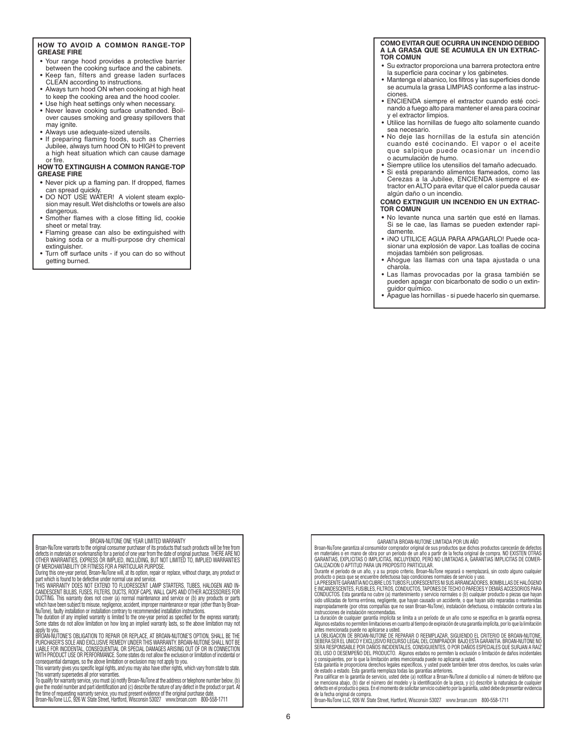#### **HOW TO AVOID A COMMON RANGE-TOP GREASE FIRE**

- Your range hood provides a protective barrier between the cooking surface and the cabinets.
- • Keep fan, filters and grease laden surfaces CLEAN according to instructions.
- Always turn hood ON when cooking at high heat to keep the cooking area and the hood cooler.
- Use high heat settings only when necessary. • Never leave cooking surface unattended. Boilover causes smoking and greasy spillovers that may ignite.
- Always use adequate-sized utensils.
- If preparing flaming foods, such as Cherries<br>Jubilee, always turn hood ON to HIGH to prevent a high heat situation which can cause damage or fire.

#### **HOW TO EXTINGUISH A COMMON RANGE-TOP GREASE FIRE**

- Never pick up a flaming pan. If dropped, flames can spread quickly.
- DO NOT USE WATER! A violent steam explosion may result.Wet dishcloths or towels are also dangerous.
- Smother flames with a close fitting lid, cookie sheet or metal trav.
- • Flaming grease can also be extinguished with baking soda or a multi-purpose dry chemical extinguisher.
- Turn off surface units if you can do so without getting burned.

#### **COMO EVITAR QUE OCURRA UN INCENDIO DEBIDO A LA GRASA QUE SE ACUMULA EN UN EXTRAC-TOR COMUN**

- • Su extractor proporciona una barrera protectora entre la superficie para cocinar y los gabinetes.
- Mantenga el abanico, los filtros y las superficies donde se acumula la grasa LIMPIAS conforme a las instrucciones.
- • ENCIENDA siempre el extractor cuando esté cocinando a fuego alto para mantener el area para cocinar y el extractor limpios.
- Utilice las hornillas de fuego alto solamente cuando sea necesario.
- • No deje las hornillas de la estufa sin atención cuando esté cocinando. El vapor o el aceite que salpique puede ocasionar un incendio |<br>o acumulación de humo.
- Siempre utilice los utensilios del tamaño adecuado.
- Si está preparando alimentos flameados, como las Cerezas a la Jubilee, ENCIENDA siempre el extractor en ALTO para evitar que el calor pueda causar algún daño o un incendio.

#### **COMO EXTINGUIR UN INCENDIO EN UN EXTRAC-TOR COMUN**

- No levante nunca una sartén que esté en llamas. Si se le cae, las llamas se pueden extender rapidamente.
- INO UTILICE AGUA PARA APAGARLO! Puede ocasionar una explosión de vapor. Las toallas de cocina mojadas también son peligrosas.
- Ahogue las llamas con una tapa ajustada o una charola.
- Las llamas provocadas por la grasa también se pueden apagar con bicarbonato de sodio o un extinguidor químico.
- Apague las hornillas si puede hacerlo sin quemarse.

### BROAN-NUTONE ONE YEAR LIMITED WARRANTY

Broan-NuTone warrants to the original consumer purchaser of its products that such products will be free from defects in materials or workmanship for a period of one year from the date of original purchase. THERE ARE NO OTHER WARRANTIES, EXPRESS OR IMPLIED, INCLUDING, BUT NOT LIMITED TO, IMPLIED WARRANTIES OF MERCHANTABILITY OR FITNESS FOR A PARTICULAR PURPOSE.

During this one-year period, Broan-NuTone will, at its option, repair or replace, without charge, any product or part which is found to be defective under normal use and service. THIS WARRANTY DOES NOT EXTEND TO FLUORESCENT LAMP STARTERS, TUBES, HALOGEN AND IN-

CANDESCENT BULBS, FUSES, FILTERS, DUCTS, ROOF CAPS, WALL CAPS AND OTHER ACCESSORIES FOR DUCTING. This warranty does not cover (a) normal maintenance and service or (b) any products or parts which have been subject to misuse, negligence, accident, improper maintenance or repair (other than by Broan-<br>NuTone), faulty installation or installation contrary to recommended installation instructions.

The duration of any implied warranty is limited to the one-year period as specified for the express warranty.<br>Some states do not allow limitation on how long an implied warranty lasts, so the above limitation may not

apply to you.<br>BROAN-MUTONE'S OBLIGATION TO REPAIR OR REPLACE, AT BROAN-NUTONE'S OPTION, SHALL BE THE<br>PURCHASER'S SOLE AND EXCLUSIVE REMEDY UNDER THIS WARRANTY. BROAN-NUTONE SHALL NOT BE LIABLE FOR INCIDENTAL, CONSEQUENTIAL OR SPECIAL DAMAGES ARISING OUT OF OR IN CONNECTION WITH PRODUCT USE OR PERFORMANCE. Some states do not allow the exclusion or limitation of incidental or consequential damages, so the above limitation or exclusion may not apply to you.

This warranty gives you specific legal rights, and you may also have other rights, which vary from state to state. This warranty supersedes all prior warranties.

To quality for warranty service, you must (a) notity Broan-NuTone at the address or telephone number below, (b)<br>give the model number and part identification and (c) describe the nature of any defect in the product or part

GARANTIA BROAN-NUTONE LIMITADA POR UN AÑO

Broan-NuTone garantiza al consumidor comprador original de sus productos que dichos productos carecerán de defectos<br>en materiales o en mano de obra por un período de un año a partir de la fecha original de compra. NO EXIST

Durante el periodo de un año, y a su propio criterio, Broan-NuTone reparará o reemplazará, sin costo alguno cualquier<br>producto o pieza que se encuentre defectuosa bajo condiciones normales de servicio y uso.<br>LA PRESENTE GA

E INCANDESCENTES, FUSIBLES, FILTROS, CONDUCTOS, TAPONES DE TECHO O PAREDES Y DEMAS ACCESORIOS PARA<br>CONDUCTOS. Esta garantía no cubre (a) mantenimiento y servicio normales o (b) cualquier producto o piezas que hayan sido utilizadas de forma errónea, negligente, que hayan causado un accidente, o que hayan sido reparadas o mantenidas<br>inapropiadamente (por otras compañías que no sean Broan-NuTone), instalación defectuosa, o instalación c

La duración de cualquier garantía implícita se limita a un período de un año como se especifica en la garantía expresa. Algunos estados no permiten limitaciones en cuanto al tiempo de expiración de una garantía implícita, por lo que la limitación

antes mencionada puede no aplicarse a usted. LA OBLIGACION DE BROAN-NUTONE DE REPARAR O REEMPLAZAR, SIGUIENDO EL CRITERIO DE BROAN-NUTONE, DEBERA SER EL UNICO Y EXCLUSIVO RECURSO LEGAL DEL COMPRADOR BAJO ESTA GARANTIA. BROAN-NUTONE NO SERA RESPONSABLE POR DAÑOS INCIDENTALES, CONSIGUIENTES, O POR DAÑOS ESPECIALES QUE SURJAN A RAIZ DEL USO O DESEMPENO DEL PRODUCTO. Algunos estados no permiten la exclusión o limitación de daños incidentales<br>o consiguientes, por lo que la limitación antes mencionada puede no aplicarse a usted.<br>Esta garantía le proporci

de estado a estado. Esta garantia reemplaza todas las garantias anteriores.<br>Para calificar en la garantía de servicio, usted debe (a) notificar a Broan-NuTone al domicilio o al número de teléfono que<br>se menciona abajo, (b defecto en el producto o pieza. En el momento de solicitar servicio cubierto por la garantía, usted debe de presentar evidencia

de la fecha original de compra. Broan-NuTone LLC, 926 W. State Street, Hartford, Wisconsin 53027 www.broan.com 800-558-1711